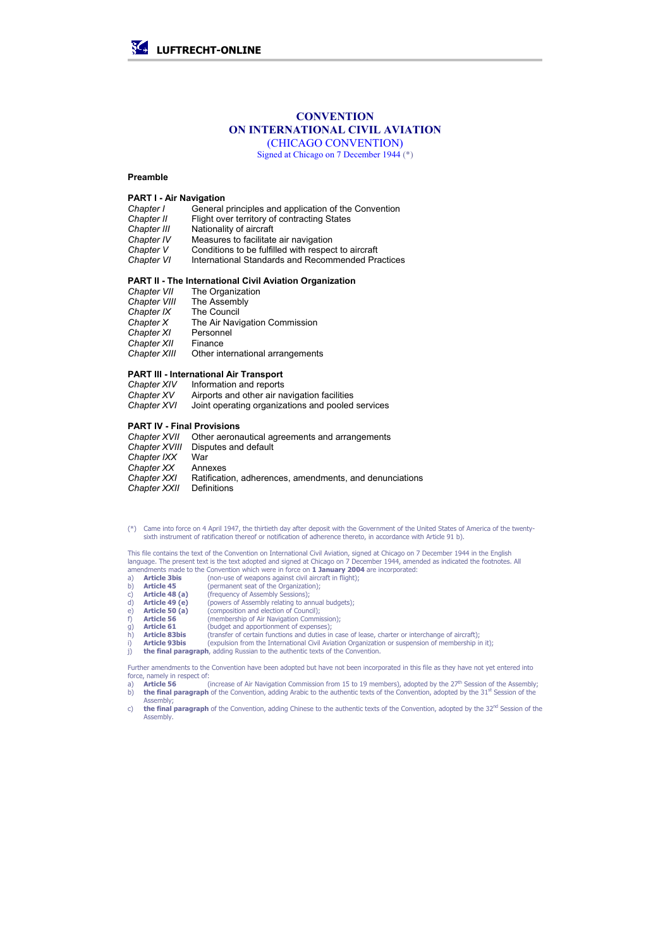

# **CONVENTION ON INTERNATIONAL CIVIL AVIATION**

(CHICAGO CONVENTION)

Signed at Chicago on 7 December 1944 (\*)

#### **Preamble**

#### **PART I - Air Navigation**

| Chapter I   | General principles and application of the Convention |
|-------------|------------------------------------------------------|
| Chapter II  | Flight over territory of contracting States          |
| Chapter III | Nationality of aircraft                              |
| Chapter IV  | Measures to facilitate air navigation                |
| Chapter V   | Conditions to be fulfilled with respect to aircraft  |
| Chapter VI  | International Standards and Recommended Practices    |

#### **PART II - The International Civil Aviation Organization**

| Chapter VII  | The Organization                 |
|--------------|----------------------------------|
| Chapter VIII | The Assembly                     |
| Chapter IX   | <b>The Council</b>               |
| Chapter X    | The Air Navigation Commission    |
| Chapter XI   | Personnel                        |
| Chapter XII  | Finance                          |
| Chapter XIII | Other international arrangements |

#### **PART III - International Air Transport**

| Chapter XIV | Information and reports                           |
|-------------|---------------------------------------------------|
| Chapter XV  | Airports and other air navigation facilities      |
| Chapter XVI | Joint operating organizations and pooled services |

#### **PART IV - Final Provisions**

| Chapter XVII  | Other aeronautical agreements and arrangements          |
|---------------|---------------------------------------------------------|
| Chapter XVIII | Disputes and default                                    |
| Chapter IXX   | War                                                     |
| Chapter XX    | Annexes                                                 |
| Chapter XXI   | Ratification, adherences, amendments, and denunciations |
| Chapter XXII  | Definitions                                             |

(\*) Came into force on 4 April 1947, the thirtieth day after deposit with the Government of the United States of America of the twentysixth instrument of ratification thereof or notification of adherence thereto, in accordance with Article 91 b).

This file contains the text of the Convention on International Civil Aviation, signed at Chicago on 7 December 1944 in the English<br>Ianguage. The present text is the text adopted and signed at Chicago on 7 December 1944, am

- 
- a) **Article 3bis** (non-use of weapons against civil aircraft in flight);<br>b) **Article 45 (permanent seat of the Organization);<br>c) <b>Article 48 (a)** (frequency of Assembly Sessions);
- 
- d) **Article 49 (e)** (powers of Assembly relating to annual budgets); e) **Article 50 (a)** (composition and election of Council);
- 
- f) **Article 56** (membership of Air Navigation Commission);
- g) **Article 61** (budget and apportionment of expenses); h) **Article 83bis** (transfer of certain functions and duties in case of lease, charter or interchange of aircraft);
- 
- i) **Article 93bis** (expulsion from the International Civil Aviation Organization or suspension of membership in it); j) **the final paragraph**, adding Russian to the authentic texts of the Convention.

Further amendments to the Convention have been adopted but have not been incorporated in this file as they have not yet entered into force, namely in respect of:<br>a) **Article 56** (increase of Air Navigation Commission from 15 to 19 members), adopted by the 27<sup>th</sup> Session of the Assembly;

b) the final paragraph of the Convention, adding Arabic to the authentic texts of the Convention, adopted by the 31<sup>st</sup> Session of the

Assembly;<br>c) **the final paragraph** of the Convention, adding Chinese to the authentic texts of the Convention, adopted by the 32<sup>nd</sup> Session of the Assembly.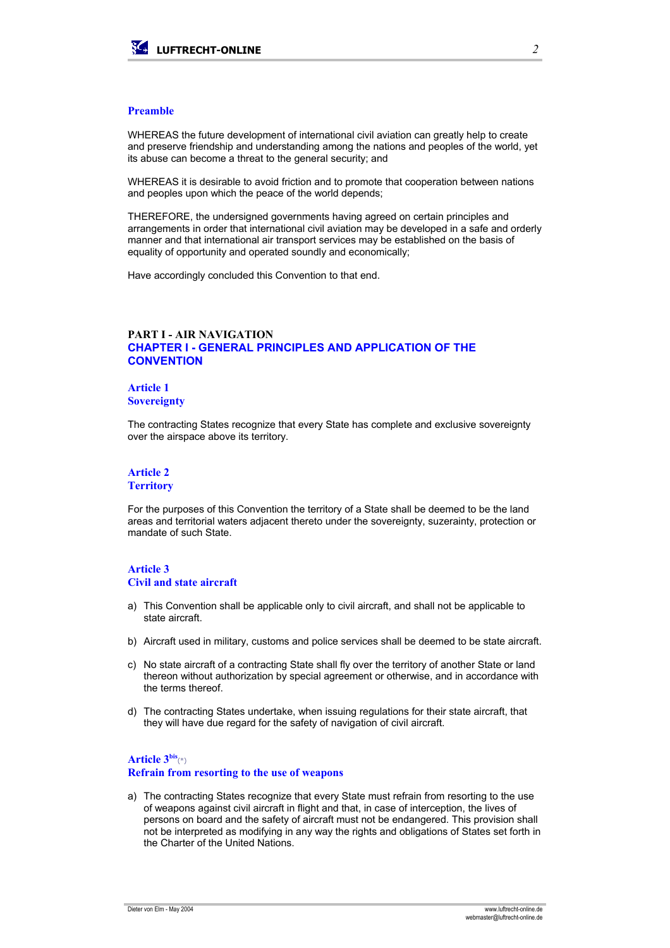#### **Preamble**

WHEREAS the future development of international civil aviation can greatly help to create and preserve friendship and understanding among the nations and peoples of the world, yet its abuse can become a threat to the general security; and

WHEREAS it is desirable to avoid friction and to promote that cooperation between nations and peoples upon which the peace of the world depends;

THEREFORE, the undersigned governments having agreed on certain principles and arrangements in order that international civil aviation may be developed in a safe and orderly manner and that international air transport services may be established on the basis of equality of opportunity and operated soundly and economically;

Have accordingly concluded this Convention to that end.

### **PART I - AIR NAVIGATION CHAPTER I - GENERAL PRINCIPLES AND APPLICATION OF THE CONVENTION**

**Article 1 Sovereignty** 

The contracting States recognize that every State has complete and exclusive sovereignty over the airspace above its territory.

#### **Article 2 Territory**

For the purposes of this Convention the territory of a State shall be deemed to be the land areas and territorial waters adjacent thereto under the sovereignty, suzerainty, protection or mandate of such State.

#### **Article 3 Civil and state aircraft**

- a) This Convention shall be applicable only to civil aircraft, and shall not be applicable to state aircraft.
- b) Aircraft used in military, customs and police services shall be deemed to be state aircraft.
- c) No state aircraft of a contracting State shall fly over the territory of another State or land thereon without authorization by special agreement or otherwise, and in accordance with the terms thereof.
- d) The contracting States undertake, when issuing regulations for their state aircraft, that they will have due regard for the safety of navigation of civil aircraft.

# **Article 3bis**(\*)

#### **Refrain from resorting to the use of weapons**

a) The contracting States recognize that every State must refrain from resorting to the use of weapons against civil aircraft in flight and that, in case of interception, the lives of persons on board and the safety of aircraft must not be endangered. This provision shall not be interpreted as modifying in any way the rights and obligations of States set forth in the Charter of the United Nations.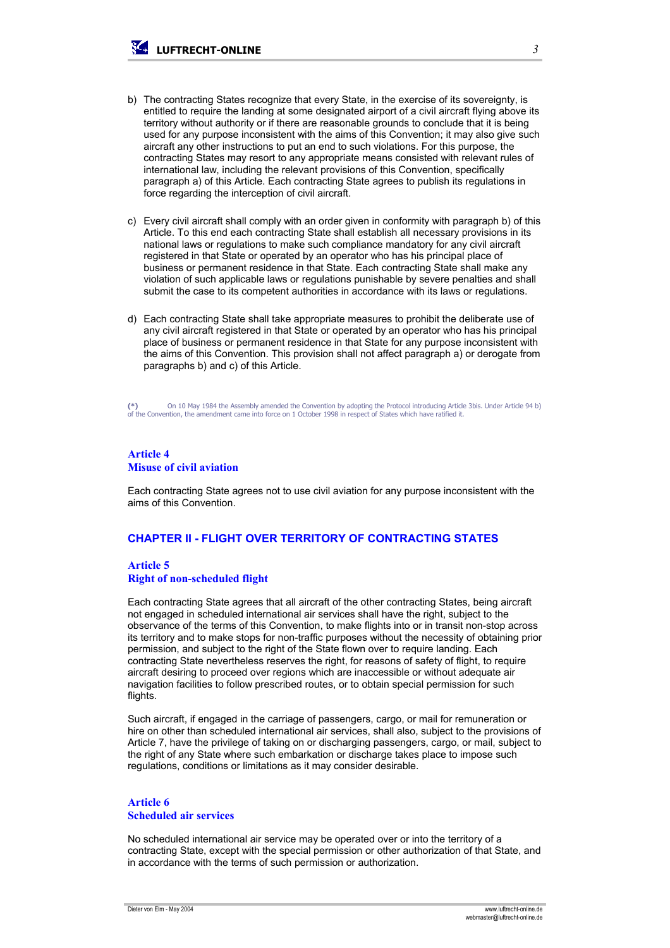- b) The contracting States recognize that every State, in the exercise of its sovereignty, is entitled to require the landing at some designated airport of a civil aircraft flying above its territory without authority or if there are reasonable grounds to conclude that it is being used for any purpose inconsistent with the aims of this Convention; it may also give such aircraft any other instructions to put an end to such violations. For this purpose, the contracting States may resort to any appropriate means consisted with relevant rules of international law, including the relevant provisions of this Convention, specifically paragraph a) of this Article. Each contracting State agrees to publish its regulations in force regarding the interception of civil aircraft.
- c) Every civil aircraft shall comply with an order given in conformity with paragraph b) of this Article. To this end each contracting State shall establish all necessary provisions in its national laws or regulations to make such compliance mandatory for any civil aircraft registered in that State or operated by an operator who has his principal place of business or permanent residence in that State. Each contracting State shall make any violation of such applicable laws or regulations punishable by severe penalties and shall submit the case to its competent authorities in accordance with its laws or regulations.
- d) Each contracting State shall take appropriate measures to prohibit the deliberate use of any civil aircraft registered in that State or operated by an operator who has his principal place of business or permanent residence in that State for any purpose inconsistent with the aims of this Convention. This provision shall not affect paragraph a) or derogate from paragraphs b) and c) of this Article.

(\*) On 10 May 1984 the Assembly amended the Convention by adopting the Protocol introducing Article 3bis. Under Article 94 b)<br>of the Convention, the amendment came into force on 1 October 1998 in respect of States which ha

# **Article 4 Misuse of civil aviation**

Each contracting State agrees not to use civil aviation for any purpose inconsistent with the aims of this Convention.

# **CHAPTER II - FLIGHT OVER TERRITORY OF CONTRACTING STATES**

#### **Article 5 Right of non-scheduled flight**

Each contracting State agrees that all aircraft of the other contracting States, being aircraft not engaged in scheduled international air services shall have the right, subject to the observance of the terms of this Convention, to make flights into or in transit non-stop across its territory and to make stops for non-traffic purposes without the necessity of obtaining prior permission, and subject to the right of the State flown over to require landing. Each contracting State nevertheless reserves the right, for reasons of safety of flight, to require aircraft desiring to proceed over regions which are inaccessible or without adequate air navigation facilities to follow prescribed routes, or to obtain special permission for such flights.

Such aircraft, if engaged in the carriage of passengers, cargo, or mail for remuneration or hire on other than scheduled international air services, shall also, subject to the provisions of Article 7, have the privilege of taking on or discharging passengers, cargo, or mail, subject to the right of any State where such embarkation or discharge takes place to impose such regulations, conditions or limitations as it may consider desirable.

#### **Article 6 Scheduled air services**

No scheduled international air service may be operated over or into the territory of a contracting State, except with the special permission or other authorization of that State, and in accordance with the terms of such permission or authorization.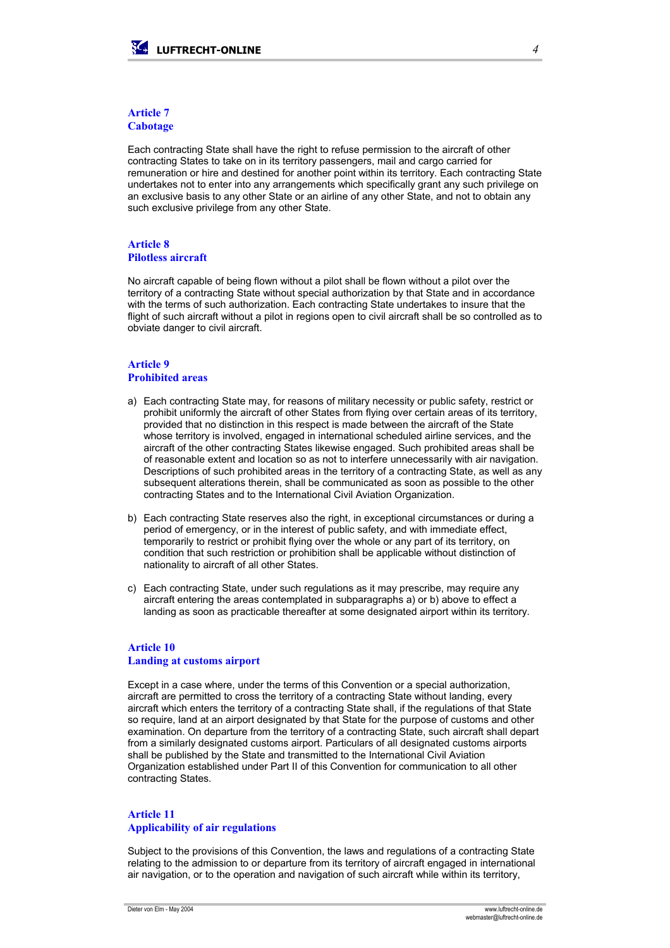#### **Article 7 Cabotage**

Each contracting State shall have the right to refuse permission to the aircraft of other contracting States to take on in its territory passengers, mail and cargo carried for remuneration or hire and destined for another point within its territory. Each contracting State undertakes not to enter into any arrangements which specifically grant any such privilege on an exclusive basis to any other State or an airline of any other State, and not to obtain any such exclusive privilege from any other State.

#### **Article 8 Pilotless aircraft**

No aircraft capable of being flown without a pilot shall be flown without a pilot over the territory of a contracting State without special authorization by that State and in accordance with the terms of such authorization. Each contracting State undertakes to insure that the flight of such aircraft without a pilot in regions open to civil aircraft shall be so controlled as to obviate danger to civil aircraft.

## **Article 9 Prohibited areas**

- a) Each contracting State may, for reasons of military necessity or public safety, restrict or prohibit uniformly the aircraft of other States from flying over certain areas of its territory, provided that no distinction in this respect is made between the aircraft of the State whose territory is involved, engaged in international scheduled airline services, and the aircraft of the other contracting States likewise engaged. Such prohibited areas shall be of reasonable extent and location so as not to interfere unnecessarily with air navigation. Descriptions of such prohibited areas in the territory of a contracting State, as well as any subsequent alterations therein, shall be communicated as soon as possible to the other contracting States and to the International Civil Aviation Organization.
- b) Each contracting State reserves also the right, in exceptional circumstances or during a period of emergency, or in the interest of public safety, and with immediate effect, temporarily to restrict or prohibit flying over the whole or any part of its territory, on condition that such restriction or prohibition shall be applicable without distinction of nationality to aircraft of all other States.
- c) Each contracting State, under such regulations as it may prescribe, may require any aircraft entering the areas contemplated in subparagraphs a) or b) above to effect a landing as soon as practicable thereafter at some designated airport within its territory.

# **Article 10**

#### **Landing at customs airport**

Except in a case where, under the terms of this Convention or a special authorization, aircraft are permitted to cross the territory of a contracting State without landing, every aircraft which enters the territory of a contracting State shall, if the regulations of that State so require, land at an airport designated by that State for the purpose of customs and other examination. On departure from the territory of a contracting State, such aircraft shall depart from a similarly designated customs airport. Particulars of all designated customs airports shall be published by the State and transmitted to the International Civil Aviation Organization established under Part II of this Convention for communication to all other contracting States.

# **Article 11 Applicability of air regulations**

Subject to the provisions of this Convention, the laws and regulations of a contracting State relating to the admission to or departure from its territory of aircraft engaged in international air navigation, or to the operation and navigation of such aircraft while within its territory,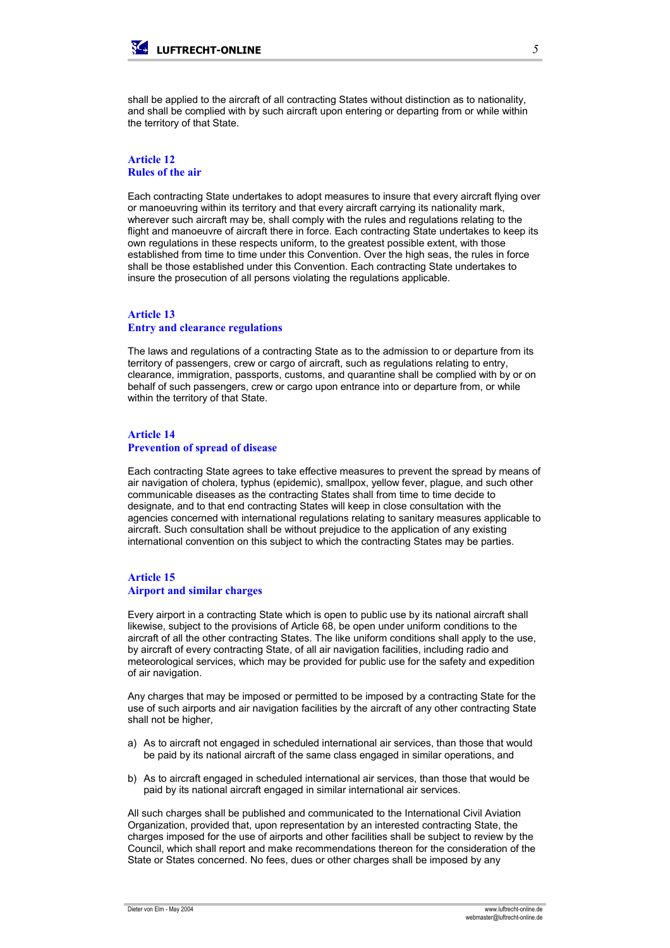shall be applied to the aircraft of all contracting States without distinction as to nationality, and shall be complied with by such aircraft upon entering or departing from or while within the territory of that State.

## **Article 12 Rules of the air**

Each contracting State undertakes to adopt measures to insure that every aircraft flying over or manoeuvring within its territory and that every aircraft carrying its nationality mark, wherever such aircraft may be, shall comply with the rules and regulations relating to the flight and manoeuvre of aircraft there in force. Each contracting State undertakes to keep its own regulations in these respects uniform, to the greatest possible extent, with those established from time to time under this Convention. Over the high seas, the rules in force shall be those established under this Convention. Each contracting State undertakes to insure the prosecution of all persons violating the regulations applicable.

# **Article 13 Entry and clearance regulations**

The laws and regulations of a contracting State as to the admission to or departure from its territory of passengers, crew or cargo of aircraft, such as regulations relating to entry, clearance, immigration, passports, customs, and quarantine shall be complied with by or on behalf of such passengers, crew or cargo upon entrance into or departure from, or while within the territory of that State.

# **Article 14 Prevention of spread of disease**

Each contracting State agrees to take effective measures to prevent the spread by means of air navigation of cholera, typhus (epidemic), smallpox, yellow fever, plague, and such other communicable diseases as the contracting States shall from time to time decide to designate, and to that end contracting States will keep in close consultation with the agencies concerned with international regulations relating to sanitary measures applicable to aircraft. Such consultation shall be without prejudice to the application of any existing international convention on this subject to which the contracting States may be parties.

#### **Article 15 Airport and similar charges**

Every airport in a contracting State which is open to public use by its national aircraft shall likewise, subject to the provisions of Article 68, be open under uniform conditions to the aircraft of all the other contracting States. The like uniform conditions shall apply to the use, by aircraft of every contracting State, of all air navigation facilities, including radio and meteorological services, which may be provided for public use for the safety and expedition of air navigation.

Any charges that may be imposed or permitted to be imposed by a contracting State for the use of such airports and air navigation facilities by the aircraft of any other contracting State shall not be higher,

- a) As to aircraft not engaged in scheduled international air services, than those that would be paid by its national aircraft of the same class engaged in similar operations, and
- b) As to aircraft engaged in scheduled international air services, than those that would be paid by its national aircraft engaged in similar international air services.

All such charges shall be published and communicated to the International Civil Aviation Organization, provided that, upon representation by an interested contracting State, the charges imposed for the use of airports and other facilities shall be subject to review by the Council, which shall report and make recommendations thereon for the consideration of the State or States concerned. No fees, dues or other charges shall be imposed by any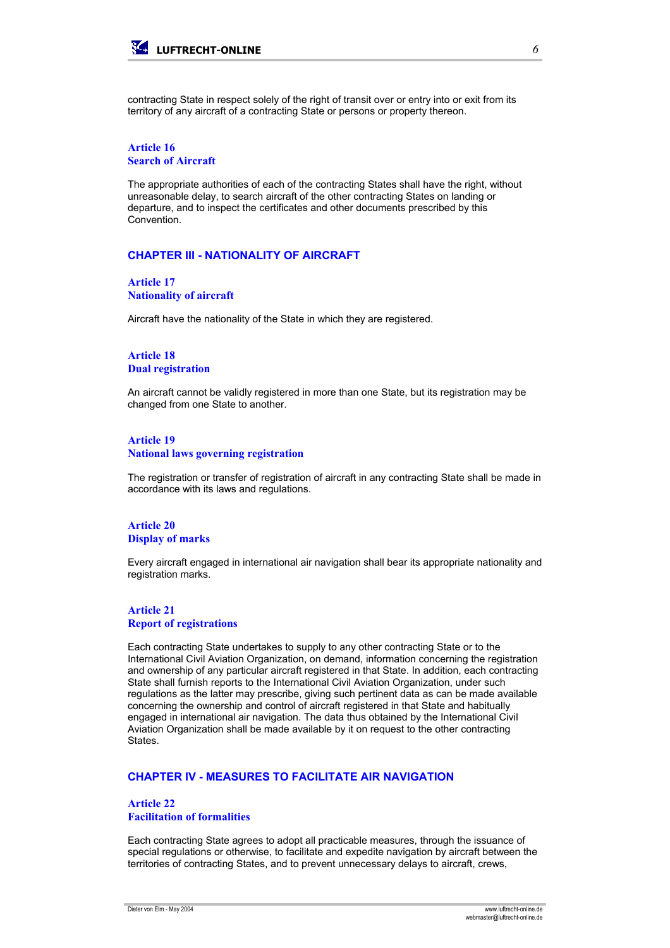contracting State in respect solely of the right of transit over or entry into or exit from its territory of any aircraft of a contracting State or persons or property thereon.

## **Article 16 Search of Aircraft**

The appropriate authorities of each of the contracting States shall have the right, without unreasonable delay, to search aircraft of the other contracting States on landing or departure, and to inspect the certificates and other documents prescribed by this Convention.

## **CHAPTER III - NATIONALITY OF AIRCRAFT**

# **Article 17 Nationality of aircraft**

Aircraft have the nationality of the State in which they are registered.

# **Article 18 Dual registration**

An aircraft cannot be validly registered in more than one State, but its registration may be changed from one State to another.

# **Article 19 National laws governing registration**

The registration or transfer of registration of aircraft in any contracting State shall be made in accordance with its laws and regulations.

## **Article 20 Display of marks**

Every aircraft engaged in international air navigation shall bear its appropriate nationality and registration marks.

#### **Article 21 Report of registrations**

Each contracting State undertakes to supply to any other contracting State or to the International Civil Aviation Organization, on demand, information concerning the registration and ownership of any particular aircraft registered in that State. In addition, each contracting State shall furnish reports to the International Civil Aviation Organization, under such regulations as the latter may prescribe, giving such pertinent data as can be made available concerning the ownership and control of aircraft registered in that State and habitually engaged in international air navigation. The data thus obtained by the International Civil Aviation Organization shall be made available by it on request to the other contracting States.

## **CHAPTER IV - MEASURES TO FACILITATE AIR NAVIGATION**

## **Article 22 Facilitation of formalities**

Each contracting State agrees to adopt all practicable measures, through the issuance of special regulations or otherwise, to facilitate and expedite navigation by aircraft between the territories of contracting States, and to prevent unnecessary delays to aircraft, crews,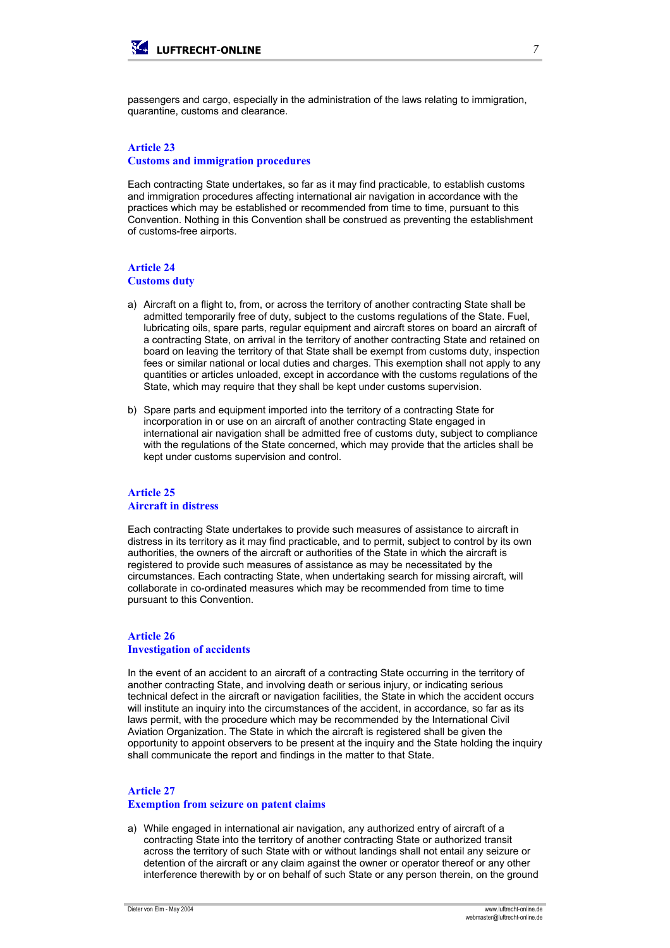passengers and cargo, especially in the administration of the laws relating to immigration, quarantine, customs and clearance.

#### **Article 23 Customs and immigration procedures**

Each contracting State undertakes, so far as it may find practicable, to establish customs and immigration procedures affecting international air navigation in accordance with the practices which may be established or recommended from time to time, pursuant to this Convention. Nothing in this Convention shall be construed as preventing the establishment of customs-free airports.

# **Article 24**

## **Customs duty**

- a) Aircraft on a flight to, from, or across the territory of another contracting State shall be admitted temporarily free of duty, subject to the customs regulations of the State. Fuel, lubricating oils, spare parts, regular equipment and aircraft stores on board an aircraft of a contracting State, on arrival in the territory of another contracting State and retained on board on leaving the territory of that State shall be exempt from customs duty, inspection fees or similar national or local duties and charges. This exemption shall not apply to any quantities or articles unloaded, except in accordance with the customs regulations of the State, which may require that they shall be kept under customs supervision.
- b) Spare parts and equipment imported into the territory of a contracting State for incorporation in or use on an aircraft of another contracting State engaged in international air navigation shall be admitted free of customs duty, subject to compliance with the regulations of the State concerned, which may provide that the articles shall be kept under customs supervision and control.

#### **Article 25 Aircraft in distress**

Each contracting State undertakes to provide such measures of assistance to aircraft in distress in its territory as it may find practicable, and to permit, subject to control by its own authorities, the owners of the aircraft or authorities of the State in which the aircraft is registered to provide such measures of assistance as may be necessitated by the circumstances. Each contracting State, when undertaking search for missing aircraft, will collaborate in co-ordinated measures which may be recommended from time to time pursuant to this Convention.

## **Article 26 Investigation of accidents**

In the event of an accident to an aircraft of a contracting State occurring in the territory of another contracting State, and involving death or serious injury, or indicating serious technical defect in the aircraft or navigation facilities, the State in which the accident occurs will institute an inquiry into the circumstances of the accident, in accordance, so far as its laws permit, with the procedure which may be recommended by the International Civil Aviation Organization. The State in which the aircraft is registered shall be given the opportunity to appoint observers to be present at the inquiry and the State holding the inquiry shall communicate the report and findings in the matter to that State.

## **Article 27 Exemption from seizure on patent claims**

a) While engaged in international air navigation, any authorized entry of aircraft of a contracting State into the territory of another contracting State or authorized transit across the territory of such State with or without landings shall not entail any seizure or detention of the aircraft or any claim against the owner or operator thereof or any other interference therewith by or on behalf of such State or any person therein, on the ground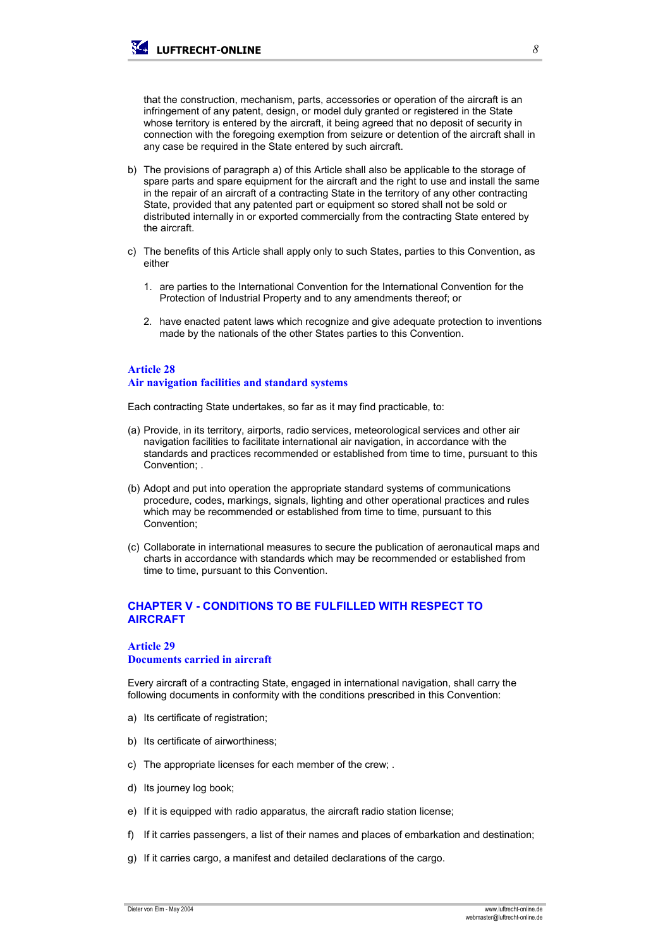that the construction, mechanism, parts, accessories or operation of the aircraft is an infringement of any patent, design, or model duly granted or registered in the State whose territory is entered by the aircraft, it being agreed that no deposit of security in connection with the foregoing exemption from seizure or detention of the aircraft shall in any case be required in the State entered by such aircraft.

- b) The provisions of paragraph a) of this Article shall also be applicable to the storage of spare parts and spare equipment for the aircraft and the right to use and install the same in the repair of an aircraft of a contracting State in the territory of any other contracting State, provided that any patented part or equipment so stored shall not be sold or distributed internally in or exported commercially from the contracting State entered by the aircraft.
- c) The benefits of this Article shall apply only to such States, parties to this Convention, as either
	- 1. are parties to the International Convention for the International Convention for the Protection of Industrial Property and to any amendments thereof; or
	- 2. have enacted patent laws which recognize and give adequate protection to inventions made by the nationals of the other States parties to this Convention.

#### **Article 28**

#### **Air navigation facilities and standard systems**

Each contracting State undertakes, so far as it may find practicable, to:

- (a) Provide, in its territory, airports, radio services, meteorological services and other air navigation facilities to facilitate international air navigation, in accordance with the standards and practices recommended or established from time to time, pursuant to this Convention; .
- (b) Adopt and put into operation the appropriate standard systems of communications procedure, codes, markings, signals, lighting and other operational practices and rules which may be recommended or established from time to time, pursuant to this Convention;
- (c) Collaborate in international measures to secure the publication of aeronautical maps and charts in accordance with standards which may be recommended or established from time to time, pursuant to this Convention.

## **CHAPTER V - CONDITIONS TO BE FULFILLED WITH RESPECT TO AIRCRAFT**

## **Article 29 Documents carried in aircraft**

Every aircraft of a contracting State, engaged in international navigation, shall carry the following documents in conformity with the conditions prescribed in this Convention:

- a) Its certificate of registration;
- b) Its certificate of airworthiness;
- c) The appropriate licenses for each member of the crew; .
- d) Its journey log book;
- e) If it is equipped with radio apparatus, the aircraft radio station license;
- f) If it carries passengers, a list of their names and places of embarkation and destination;
- g) If it carries cargo, a manifest and detailed declarations of the cargo.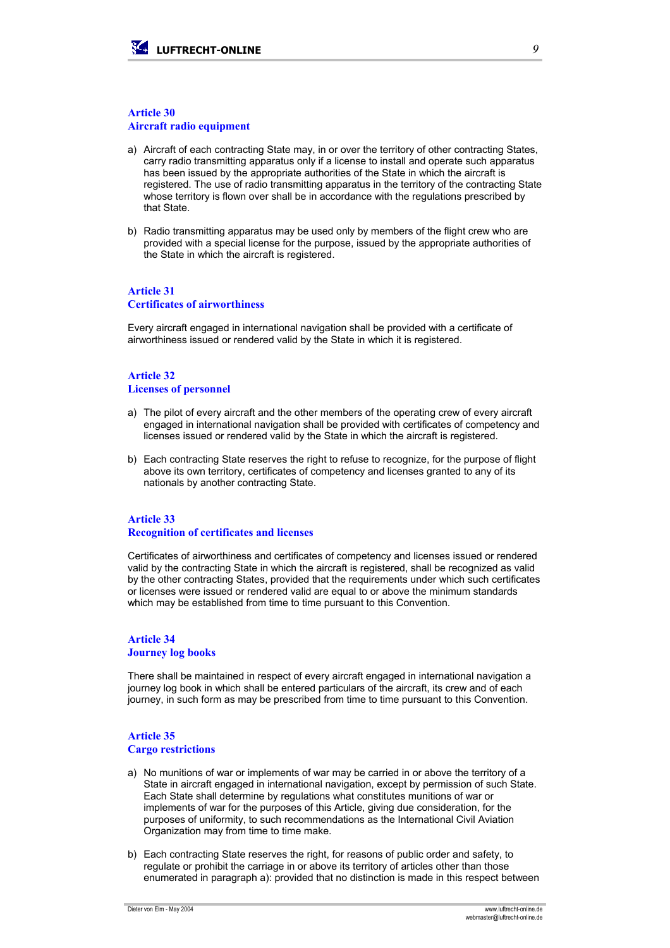#### **Article 30 Aircraft radio equipment**

- a) Aircraft of each contracting State may, in or over the territory of other contracting States, carry radio transmitting apparatus only if a license to install and operate such apparatus has been issued by the appropriate authorities of the State in which the aircraft is registered. The use of radio transmitting apparatus in the territory of the contracting State whose territory is flown over shall be in accordance with the regulations prescribed by that State.
- b) Radio transmitting apparatus may be used only by members of the flight crew who are provided with a special license for the purpose, issued by the appropriate authorities of the State in which the aircraft is registered.

## **Article 31 Certificates of airworthiness**

Every aircraft engaged in international navigation shall be provided with a certificate of airworthiness issued or rendered valid by the State in which it is registered.

#### **Article 32 Licenses of personnel**

- a) The pilot of every aircraft and the other members of the operating crew of every aircraft engaged in international navigation shall be provided with certificates of competency and licenses issued or rendered valid by the State in which the aircraft is registered.
- b) Each contracting State reserves the right to refuse to recognize, for the purpose of flight above its own territory, certificates of competency and licenses granted to any of its nationals by another contracting State.

# **Article 33**

#### **Recognition of certificates and licenses**

Certificates of airworthiness and certificates of competency and licenses issued or rendered valid by the contracting State in which the aircraft is registered, shall be recognized as valid by the other contracting States, provided that the requirements under which such certificates or licenses were issued or rendered valid are equal to or above the minimum standards which may be established from time to time pursuant to this Convention.

#### **Article 34 Journey log books**

There shall be maintained in respect of every aircraft engaged in international navigation a journey log book in which shall be entered particulars of the aircraft, its crew and of each journey, in such form as may be prescribed from time to time pursuant to this Convention.

## **Article 35 Cargo restrictions**

- a) No munitions of war or implements of war may be carried in or above the territory of a State in aircraft engaged in international navigation, except by permission of such State. Each State shall determine by regulations what constitutes munitions of war or implements of war for the purposes of this Article, giving due consideration, for the purposes of uniformity, to such recommendations as the International Civil Aviation Organization may from time to time make.
- b) Each contracting State reserves the right, for reasons of public order and safety, to regulate or prohibit the carriage in or above its territory of articles other than those enumerated in paragraph a): provided that no distinction is made in this respect between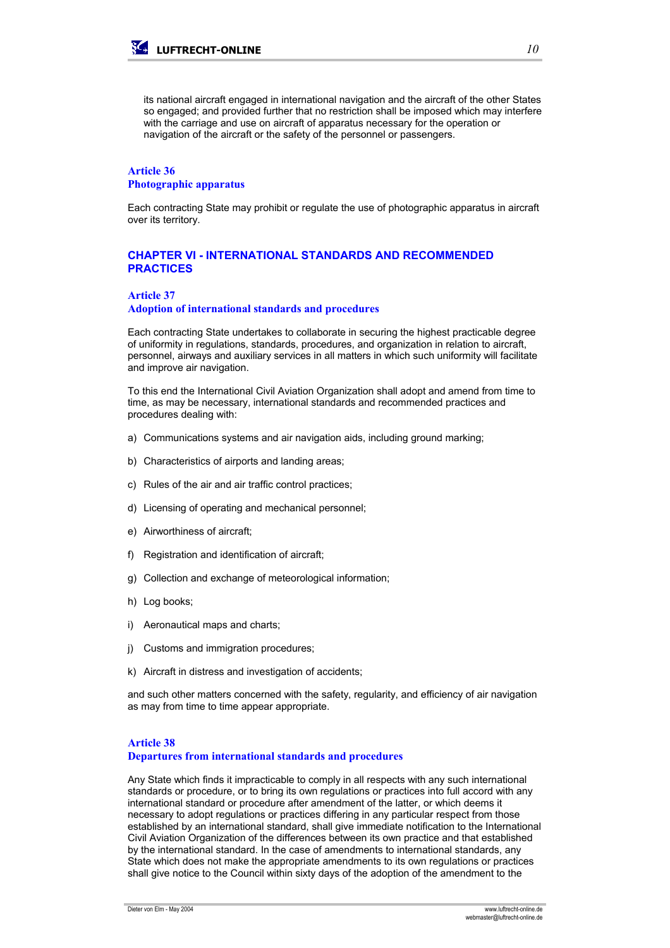its national aircraft engaged in international navigation and the aircraft of the other States so engaged; and provided further that no restriction shall be imposed which may interfere with the carriage and use on aircraft of apparatus necessary for the operation or navigation of the aircraft or the safety of the personnel or passengers.

## **Article 36 Photographic apparatus**

Each contracting State may prohibit or regulate the use of photographic apparatus in aircraft over its territory.

## **CHAPTER VI - INTERNATIONAL STANDARDS AND RECOMMENDED PRACTICES**

#### **Article 37**

**Adoption of international standards and procedures** 

Each contracting State undertakes to collaborate in securing the highest practicable degree of uniformity in regulations, standards, procedures, and organization in relation to aircraft, personnel, airways and auxiliary services in all matters in which such uniformity will facilitate and improve air navigation.

To this end the International Civil Aviation Organization shall adopt and amend from time to time, as may be necessary, international standards and recommended practices and procedures dealing with:

- a) Communications systems and air navigation aids, including ground marking;
- b) Characteristics of airports and landing areas;
- c) Rules of the air and air traffic control practices;
- d) Licensing of operating and mechanical personnel;
- e) Airworthiness of aircraft;
- f) Registration and identification of aircraft;
- g) Collection and exchange of meteorological information;
- h) Log books;
- i) Aeronautical maps and charts;
- j) Customs and immigration procedures;
- k) Aircraft in distress and investigation of accidents;

and such other matters concerned with the safety, regularity, and efficiency of air navigation as may from time to time appear appropriate.

#### **Article 38**

#### **Departures from international standards and procedures**

Any State which finds it impracticable to comply in all respects with any such international standards or procedure, or to bring its own regulations or practices into full accord with any international standard or procedure after amendment of the latter, or which deems it necessary to adopt regulations or practices differing in any particular respect from those established by an international standard, shall give immediate notification to the International Civil Aviation Organization of the differences between its own practice and that established by the international standard. In the case of amendments to international standards, any State which does not make the appropriate amendments to its own regulations or practices shall give notice to the Council within sixty days of the adoption of the amendment to the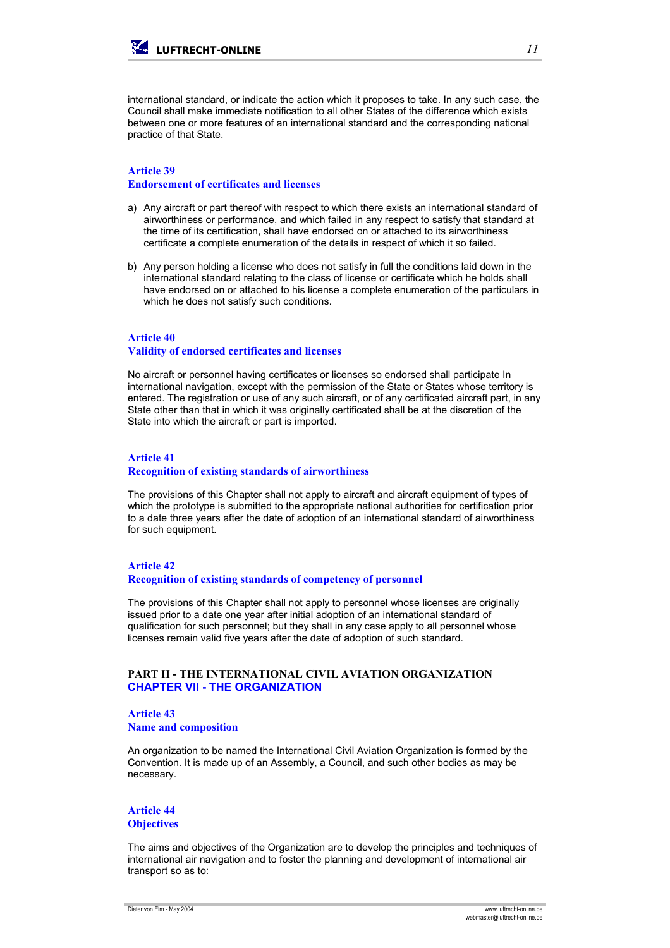international standard, or indicate the action which it proposes to take. In any such case, the Council shall make immediate notification to all other States of the difference which exists between one or more features of an international standard and the corresponding national practice of that State.

#### **Article 39 Endorsement of certificates and licenses**

- a) Any aircraft or part thereof with respect to which there exists an international standard of airworthiness or performance, and which failed in any respect to satisfy that standard at the time of its certification, shall have endorsed on or attached to its airworthiness certificate a complete enumeration of the details in respect of which it so failed.
- b) Any person holding a license who does not satisfy in full the conditions laid down in the international standard relating to the class of license or certificate which he holds shall have endorsed on or attached to his license a complete enumeration of the particulars in which he does not satisfy such conditions.

#### **Article 40 Validity of endorsed certificates and licenses**

No aircraft or personnel having certificates or licenses so endorsed shall participate In international navigation, except with the permission of the State or States whose territory is entered. The registration or use of any such aircraft, or of any certificated aircraft part, in any State other than that in which it was originally certificated shall be at the discretion of the State into which the aircraft or part is imported.

#### **Article 41 Recognition of existing standards of airworthiness**

The provisions of this Chapter shall not apply to aircraft and aircraft equipment of types of which the prototype is submitted to the appropriate national authorities for certification prior to a date three years after the date of adoption of an international standard of airworthiness for such equipment.

#### **Article 42**

#### **Recognition of existing standards of competency of personnel**

The provisions of this Chapter shall not apply to personnel whose licenses are originally issued prior to a date one year after initial adoption of an international standard of qualification for such personnel; but they shall in any case apply to all personnel whose licenses remain valid five years after the date of adoption of such standard.

#### **PART II - THE INTERNATIONAL CIVIL AVIATION ORGANIZATION CHAPTER VII - THE ORGANIZATION**

#### **Article 43 Name and composition**

An organization to be named the International Civil Aviation Organization is formed by the Convention. It is made up of an Assembly, a Council, and such other bodies as may be necessary.

## **Article 44 Objectives**

The aims and objectives of the Organization are to develop the principles and techniques of international air navigation and to foster the planning and development of international air transport so as to: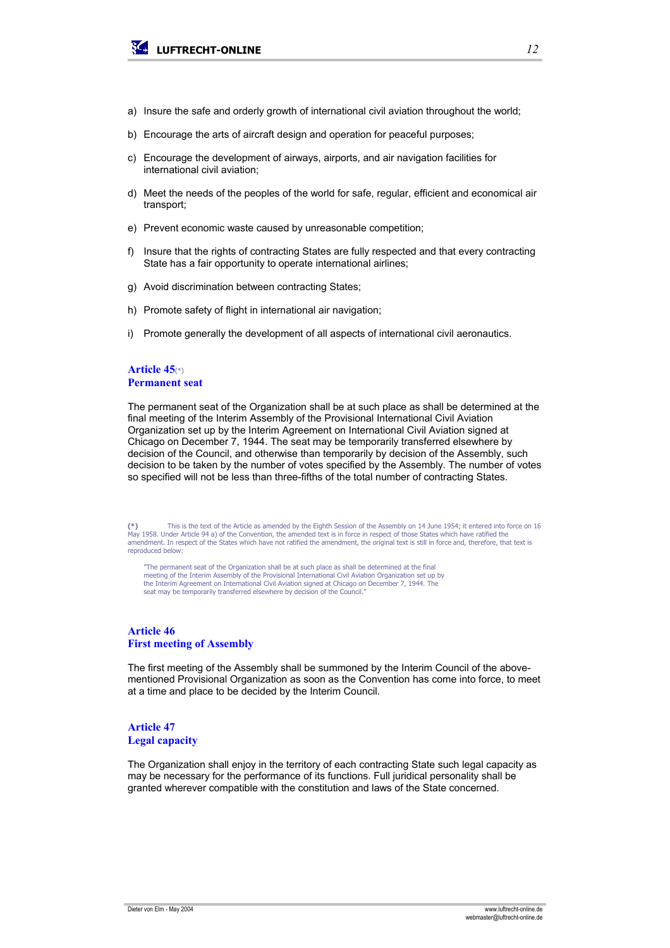- a) Insure the safe and orderly growth of international civil aviation throughout the world;
- b) Encourage the arts of aircraft design and operation for peaceful purposes;
- c) Encourage the development of airways, airports, and air navigation facilities for international civil aviation;
- d) Meet the needs of the peoples of the world for safe, regular, efficient and economical air transport;
- e) Prevent economic waste caused by unreasonable competition;
- f) Insure that the rights of contracting States are fully respected and that every contracting State has a fair opportunity to operate international airlines;
- g) Avoid discrimination between contracting States;
- h) Promote safety of flight in international air navigation;
- i) Promote generally the development of all aspects of international civil aeronautics.

#### **Article 45**(\*) **Permanent seat**

The permanent seat of the Organization shall be at such place as shall be determined at the final meeting of the Interim Assembly of the Provisional International Civil Aviation Organization set up by the Interim Agreement on International Civil Aviation signed at Chicago on December 7, 1944. The seat may be temporarily transferred elsewhere by decision of the Council, and otherwise than temporarily by decision of the Assembly, such decision to be taken by the number of votes specified by the Assembly. The number of votes so specified will not be less than three-fifths of the total number of contracting States.

(\*) This is the text of the Article as amended by the Eighth Session of the Assembly on 14 June 1954; it entered into force on 16<br>May 1958. Under Article 94 a) of the Convention, the amended text is in force in respect of amendment. In respect of the States which have not ratified the amendment, the original text is still in force and, therefore, that text is reproduced below:

"The permanent seat of the Organization shall be at such place as shall be determined at the final meeting of the Interim Assembly of the Provisional International Civil Aviation Organization set up by the Interim Agreement on International Civil Aviation signed at Chicago on December 7, 1944. The seat may be temporarily transferred elsewhere by decision of the Council."

# **Article 46 First meeting of Assembly**

The first meeting of the Assembly shall be summoned by the Interim Council of the abovementioned Provisional Organization as soon as the Convention has come into force, to meet at a time and place to be decided by the Interim Council.

#### **Article 47 Legal capacity**

The Organization shall enjoy in the territory of each contracting State such legal capacity as may be necessary for the performance of its functions. Full juridical personality shall be granted wherever compatible with the constitution and laws of the State concerned.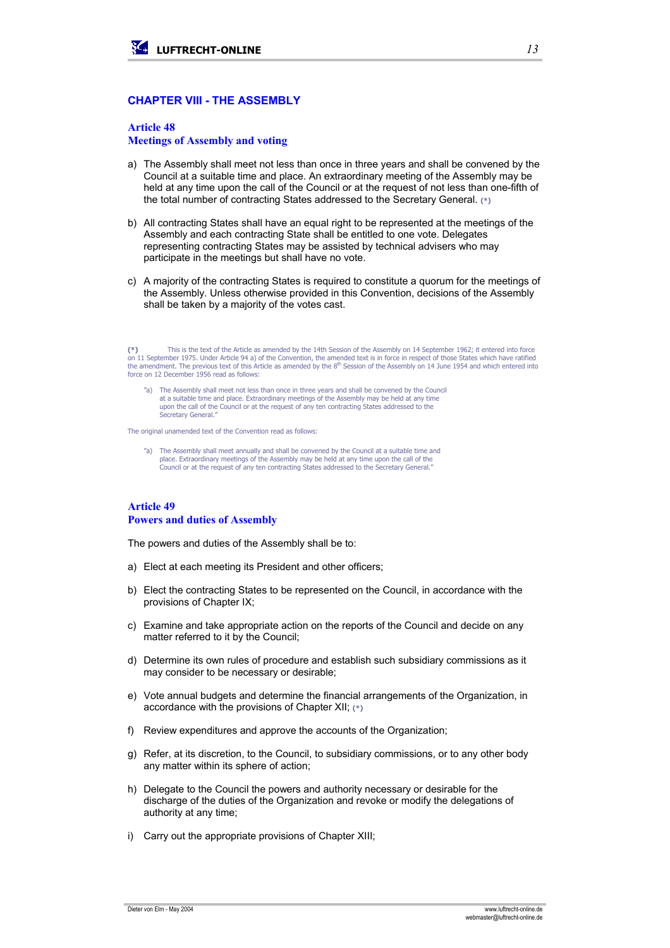## **CHAPTER VIII - THE ASSEMBLY**

#### **Article 48**

#### **Meetings of Assembly and voting**

- a) The Assembly shall meet not less than once in three years and shall be convened by the Council at a suitable time and place. An extraordinary meeting of the Assembly may be held at any time upon the call of the Council or at the request of not less than one-fifth of the total number of contracting States addressed to the Secretary General. **(\*)**
- b) All contracting States shall have an equal right to be represented at the meetings of the Assembly and each contracting State shall be entitled to one vote. Delegates representing contracting States may be assisted by technical advisers who may participate in the meetings but shall have no vote.
- c) A majority of the contracting States is required to constitute a quorum for the meetings of the Assembly. Unless otherwise provided in this Convention, decisions of the Assembly shall be taken by a majority of the votes cast.

**(\*)** This is the text of the Article as amended by the 14th Session of the Assembly on 14 September 1962; it entered into force on 11 September 1975. Under Article 94 a) of the Convention, the amended text is in force in respect of those States which have ratified the amendment. The previous text of this Article as amended by the 8<sup>th</sup> Session of the Assembly on 14 June 1954 and which entered into<br>force on 12 December 1956 read as follows:

"a) The Assembly shall meet not less than once in three years and shall be convened by the Council at a suitable time and place. Extraordinary meetings of the Assembly may be held at any time upon the call of the Council or at the request of any ten contracting States addressed to the Secretary General.

The original unamended text of the Convention read as follows:

"a) The Assembly shall meet annually and shall be convened by the Council at a suitable time and place. Extraordinary meetings of the Assembly may be held at any time upon the call of the Council or at the request of any ten contracting States addressed to the Secretary General."

# **Article 49 Powers and duties of Assembly**

The powers and duties of the Assembly shall be to:

- a) Elect at each meeting its President and other officers;
- b) Elect the contracting States to be represented on the Council, in accordance with the provisions of Chapter IX;
- c) Examine and take appropriate action on the reports of the Council and decide on any matter referred to it by the Council;
- d) Determine its own rules of procedure and establish such subsidiary commissions as it may consider to be necessary or desirable;
- e) Vote annual budgets and determine the financial arrangements of the Organization, in accordance with the provisions of Chapter XII; **(\*)**
- f) Review expenditures and approve the accounts of the Organization;
- g) Refer, at its discretion, to the Council, to subsidiary commissions, or to any other body any matter within its sphere of action;
- h) Delegate to the Council the powers and authority necessary or desirable for the discharge of the duties of the Organization and revoke or modify the delegations of authority at any time;
- i) Carry out the appropriate provisions of Chapter XIII;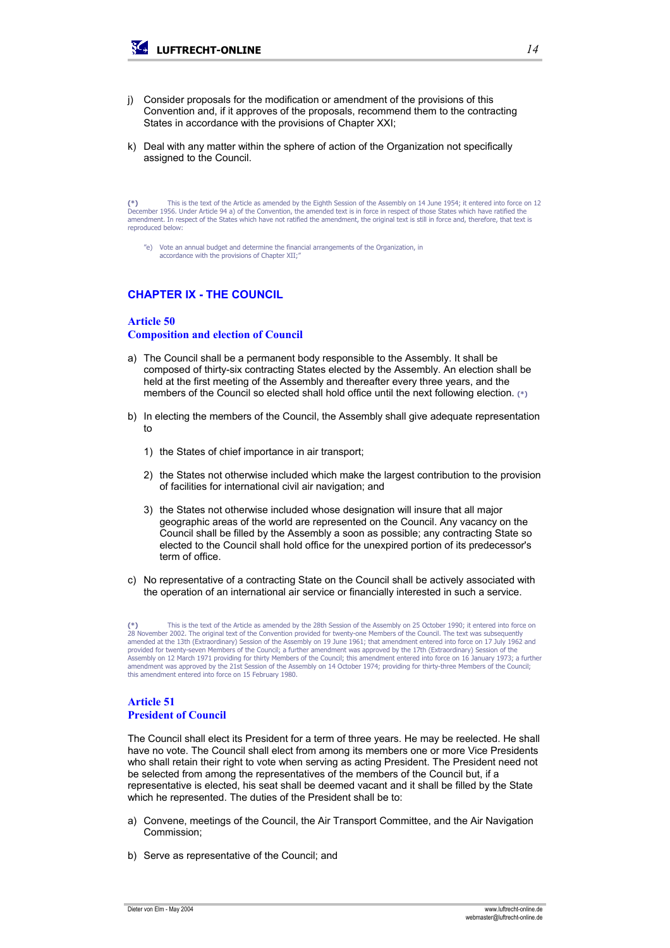- j) Consider proposals for the modification or amendment of the provisions of this Convention and, if it approves of the proposals, recommend them to the contracting States in accordance with the provisions of Chapter XXI;
- k) Deal with any matter within the sphere of action of the Organization not specifically assigned to the Council.

**(\*)** This is the text of the Article as amended by the Eighth Session of the Assembly on 14 June 1954; it entered into force on 12 December 1956. Under Article 94 a) of the Convention, the amended text is in force in respect of those States which have ratified the amendment. In respect of the States which have not ratified the amendment, the original text is still in force and, therefore, that text is reproduced below:

"e) Vote an annual budget and determine the financial arrangements of the Organization, in accordance with the provisions of Chapter XII;"

# **CHAPTER IX - THE COUNCIL**

# **Article 50**

#### **Composition and election of Council**

- a) The Council shall be a permanent body responsible to the Assembly. It shall be composed of thirty-six contracting States elected by the Assembly. An election shall be held at the first meeting of the Assembly and thereafter every three years, and the members of the Council so elected shall hold office until the next following election. **(\*)**
- b) In electing the members of the Council, the Assembly shall give adequate representation to
	- 1) the States of chief importance in air transport;
	- 2) the States not otherwise included which make the largest contribution to the provision of facilities for international civil air navigation; and
	- 3) the States not otherwise included whose designation will insure that all major geographic areas of the world are represented on the Council. Any vacancy on the Council shall be filled by the Assembly a soon as possible; any contracting State so elected to the Council shall hold office for the unexpired portion of its predecessor's term of office.
- c) No representative of a contracting State on the Council shall be actively associated with the operation of an international air service or financially interested in such a service.

**(\*)** This is the text of the Article as amended by the 28th Session of the Assembly on 25 October 1990; it entered into force on 28 November 2002. The original text of the Convention provided for twenty-one Members of the Council. The text was subsequently<br>amended at the 13th (Extraordinary) Session of the Assembly on 19 June 1961; that amendment en provided for twenty-seven Members of the Council; a further amendment was approved by the 17th (Extraordinary) Session of the Assembly on 12 March 1971 providing for thirty Members of the Council; this amendment entered into force on 16 January 1973; a further amendment was approved by the 21st Session of the Assembly on 14 October 1974; providing for thirty-three Members of the Council; this amendment entered into force on 15 February 1980.

## **Article 51 President of Council**

The Council shall elect its President for a term of three years. He may be reelected. He shall have no vote. The Council shall elect from among its members one or more Vice Presidents who shall retain their right to vote when serving as acting President. The President need not be selected from among the representatives of the members of the Council but, if a representative is elected, his seat shall be deemed vacant and it shall be filled by the State which he represented. The duties of the President shall be to:

- a) Convene, meetings of the Council, the Air Transport Committee, and the Air Navigation Commission;
- b) Serve as representative of the Council; and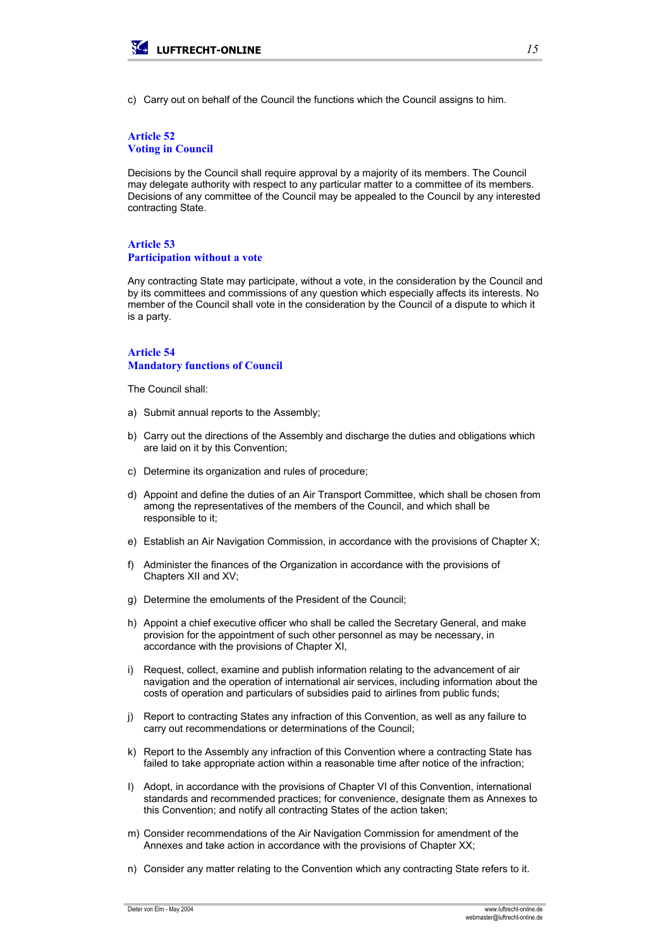c) Carry out on behalf of the Council the functions which the Council assigns to him.

# **Article 52 Voting in Council**

Decisions by the Council shall require approval by a majority of its members. The Council may delegate authority with respect to any particular matter to a committee of its members. Decisions of any committee of the Council may be appealed to the Council by any interested contracting State.

#### **Article 53 Participation without a vote**

Any contracting State may participate, without a vote, in the consideration by the Council and by its committees and commissions of any question which especially affects its interests. No member of the Council shall vote in the consideration by the Council of a dispute to which it is a party.

# **Article 54 Mandatory functions of Council**

The Council shall:

- a) Submit annual reports to the Assembly;
- b) Carry out the directions of the Assembly and discharge the duties and obligations which are laid on it by this Convention;
- c) Determine its organization and rules of procedure;
- d) Appoint and define the duties of an Air Transport Committee, which shall be chosen from among the representatives of the members of the Council, and which shall be responsible to it;
- e) Establish an Air Navigation Commission, in accordance with the provisions of Chapter X;
- f) Administer the finances of the Organization in accordance with the provisions of Chapters XII and XV;
- g) Determine the emoluments of the President of the Council;
- h) Appoint a chief executive officer who shall be called the Secretary General, and make provision for the appointment of such other personnel as may be necessary, in accordance with the provisions of Chapter XI,
- i) Request, collect, examine and publish information relating to the advancement of air navigation and the operation of international air services, including information about the costs of operation and particulars of subsidies paid to airlines from public funds;
- j) Report to contracting States any infraction of this Convention, as well as any failure to carry out recommendations or determinations of the Council;
- k) Report to the Assembly any infraction of this Convention where a contracting State has failed to take appropriate action within a reasonable time after notice of the infraction;
- I) Adopt, in accordance with the provisions of Chapter VI of this Convention, international standards and recommended practices; for convenience, designate them as Annexes to this Convention; and notify all contracting States of the action taken;
- m) Consider recommendations of the Air Navigation Commission for amendment of the Annexes and take action in accordance with the provisions of Chapter XX;
- n) Consider any matter relating to the Convention which any contracting State refers to it.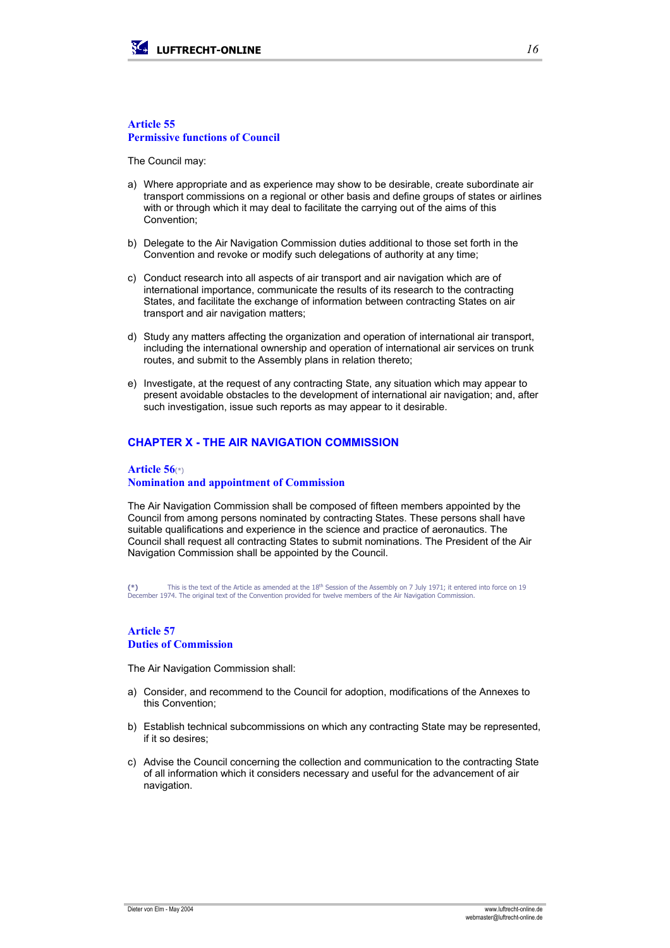#### **Article 55 Permissive functions of Council**

The Council may:

- a) Where appropriate and as experience may show to be desirable, create subordinate air transport commissions on a regional or other basis and define groups of states or airlines with or through which it may deal to facilitate the carrying out of the aims of this Convention;
- b) Delegate to the Air Navigation Commission duties additional to those set forth in the Convention and revoke or modify such delegations of authority at any time;
- c) Conduct research into all aspects of air transport and air navigation which are of international importance, communicate the results of its research to the contracting States, and facilitate the exchange of information between contracting States on air transport and air navigation matters;
- d) Study any matters affecting the organization and operation of international air transport, including the international ownership and operation of international air services on trunk routes, and submit to the Assembly plans in relation thereto;
- e) Investigate, at the request of any contracting State, any situation which may appear to present avoidable obstacles to the development of international air navigation; and, after such investigation, issue such reports as may appear to it desirable.

# **CHAPTER X - THE AIR NAVIGATION COMMISSION**

#### **Article 56**(\*)

#### **Nomination and appointment of Commission**

The Air Navigation Commission shall be composed of fifteen members appointed by the Council from among persons nominated by contracting States. These persons shall have suitable qualifications and experience in the science and practice of aeronautics. The Council shall request all contracting States to submit nominations. The President of the Air Navigation Commission shall be appointed by the Council.

This is the text of the Article as amended at the 18<sup>th</sup> Session of the Assembly on 7 July 1971; it entered into force on 19 December 1974. The original text of the Convention provided for twelve members of the Air Navigation Commission.

#### **Article 57 Duties of Commission**

The Air Navigation Commission shall:

- a) Consider, and recommend to the Council for adoption, modifications of the Annexes to this Convention;
- b) Establish technical subcommissions on which any contracting State may be represented, if it so desires;
- c) Advise the Council concerning the collection and communication to the contracting State of all information which it considers necessary and useful for the advancement of air navigation.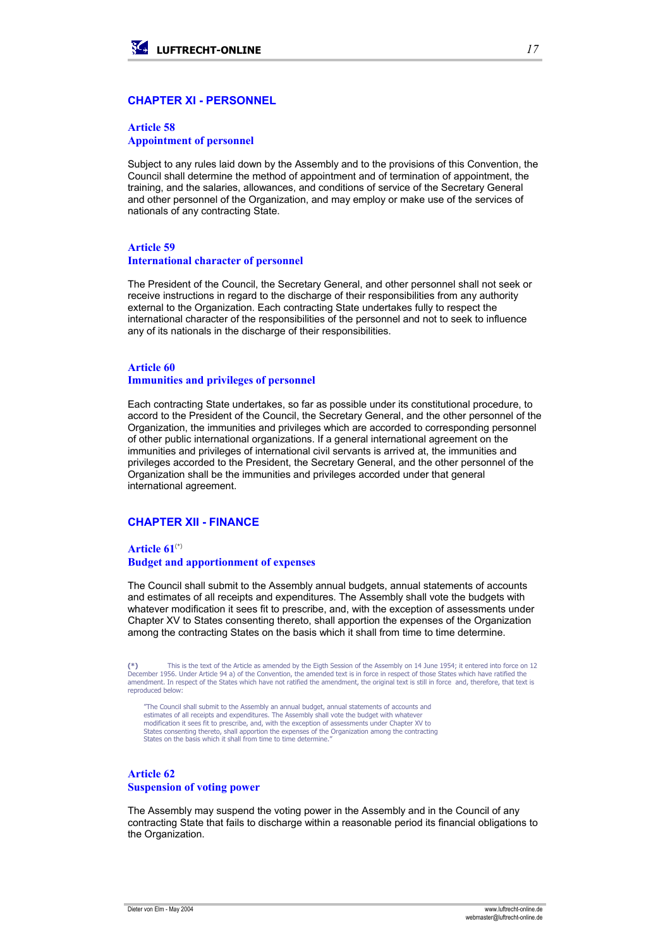

#### **CHAPTER XI - PERSONNEL**

#### **Article 58 Appointment of personnel**

Subject to any rules laid down by the Assembly and to the provisions of this Convention, the Council shall determine the method of appointment and of termination of appointment, the training, and the salaries, allowances, and conditions of service of the Secretary General and other personnel of the Organization, and may employ or make use of the services of nationals of any contracting State.

#### **Article 59 International character of personnel**

The President of the Council, the Secretary General, and other personnel shall not seek or receive instructions in regard to the discharge of their responsibilities from any authority external to the Organization. Each contracting State undertakes fully to respect the international character of the responsibilities of the personnel and not to seek to influence any of its nationals in the discharge of their responsibilities.

## **Article 60 Immunities and privileges of personnel**

Each contracting State undertakes, so far as possible under its constitutional procedure, to accord to the President of the Council, the Secretary General, and the other personnel of the Organization, the immunities and privileges which are accorded to corresponding personnel of other public international organizations. If a general international agreement on the immunities and privileges of international civil servants is arrived at, the immunities and privileges accorded to the President, the Secretary General, and the other personnel of the Organization shall be the immunities and privileges accorded under that general international agreement.

#### **CHAPTER XII - FINANCE**

#### **Article 61**(\*) **Budget and apportionment of expenses**

The Council shall submit to the Assembly annual budgets, annual statements of accounts and estimates of all receipts and expenditures. The Assembly shall vote the budgets with whatever modification it sees fit to prescribe, and, with the exception of assessments under Chapter XV to States consenting thereto, shall apportion the expenses of the Organization among the contracting States on the basis which it shall from time to time determine.

(\*) This is the text of the Article as amended by the Eigth Session of the Assembly on 14 June 1954; it entered into force on 12<br>December 1956. Under Article 94 a) of the Convention, the amended text is in force in respect amendment. In respect of the States which have not ratified the amendment, the original text is still in force and, therefore, that text is reproduced below:

"The Council shall submit to the Assembly an annual budget, annual statements of accounts and estimates of all receipts and expenditures. The Assembly shall vote the budget with whatever modification it sees fit to prescribe, and, with the exception of assessments under Chapter XV to States consenting thereto, shall apportion the expenses of the Organization among the contracting States on the basis which it shall from time to time determine.

# **Article 62 Suspension of voting power**

The Assembly may suspend the voting power in the Assembly and in the Council of any contracting State that fails to discharge within a reasonable period its financial obligations to the Organization.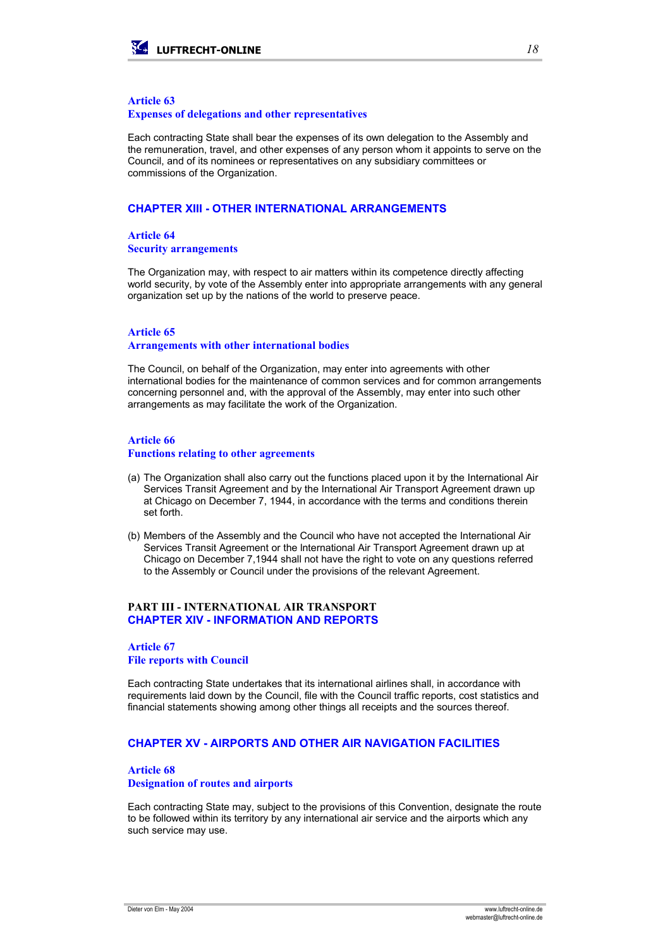#### **Article 63 Expenses of delegations and other representatives**

Each contracting State shall bear the expenses of its own delegation to the Assembly and the remuneration, travel, and other expenses of any person whom it appoints to serve on the Council, and of its nominees or representatives on any subsidiary committees or commissions of the Organization.

## **CHAPTER XIII - OTHER INTERNATIONAL ARRANGEMENTS**

# **Article 64 Security arrangements**

The Organization may, with respect to air matters within its competence directly affecting world security, by vote of the Assembly enter into appropriate arrangements with any general organization set up by the nations of the world to preserve peace.

## **Article 65**

#### **Arrangements with other international bodies**

The Council, on behalf of the Organization, may enter into agreements with other international bodies for the maintenance of common services and for common arrangements concerning personnel and, with the approval of the Assembly, may enter into such other arrangements as may facilitate the work of the Organization.

# **Article 66**

#### **Functions relating to other agreements**

- (a) The Organization shall also carry out the functions placed upon it by the International Air Services Transit Agreement and by the International Air Transport Agreement drawn up at Chicago on December 7, 1944, in accordance with the terms and conditions therein set forth.
- (b) Members of the Assembly and the Council who have not accepted the International Air Services Transit Agreement or the lnternational Air Transport Agreement drawn up at Chicago on December 7,1944 shall not have the right to vote on any questions referred to the Assembly or Council under the provisions of the relevant Agreement.

#### **PART III - INTERNATIONAL AIR TRANSPORT CHAPTER XIV - INFORMATION AND REPORTS**

## **Article 67 File reports with Council**

Each contracting State undertakes that its international airlines shall, in accordance with requirements laid down by the Council, file with the Council traffic reports, cost statistics and financial statements showing among other things all receipts and the sources thereof.

## **CHAPTER XV - AIRPORTS AND OTHER AIR NAVIGATION FACILITIES**

## **Article 68 Designation of routes and airports**

Each contracting State may, subject to the provisions of this Convention, designate the route to be followed within its territory by any international air service and the airports which any such service may use.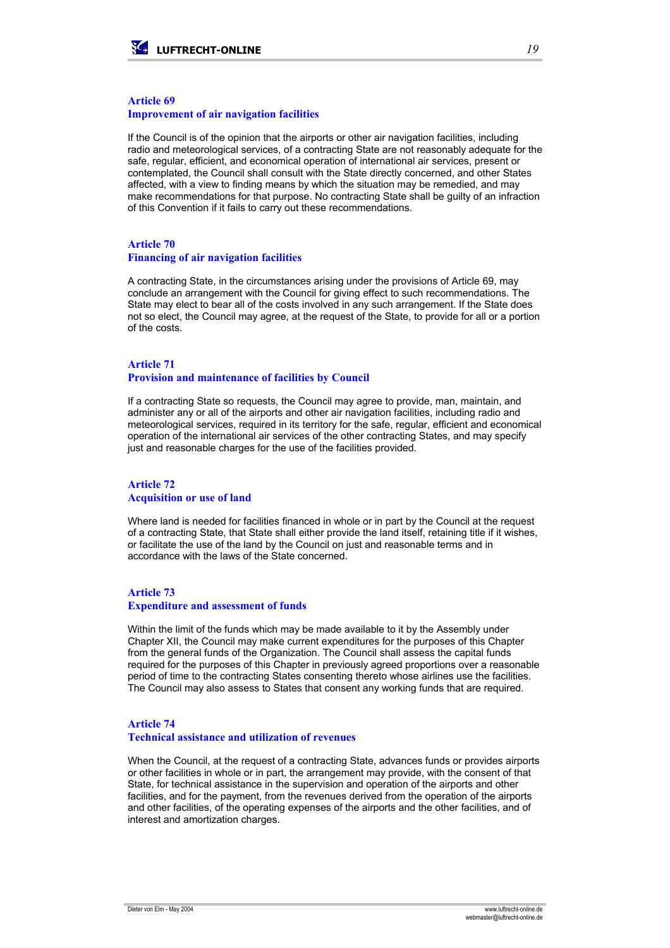# **Article 69 Improvement of air navigation facilities**

If the Council is of the opinion that the airports or other air navigation facilities, including radio and meteorological services, of a contracting State are not reasonably adequate for the safe, regular, efficient, and economical operation of international air services, present or contemplated, the Council shall consult with the State directly concerned, and other States affected, with a view to finding means by which the situation may be remedied, and may make recommendations for that purpose. No contracting State shall be guilty of an infraction of this Convention if it fails to carry out these recommendations.

#### **Article 70 Financing of air navigation facilities**

A contracting State, in the circumstances arising under the provisions of Article 69, may conclude an arrangement with the Council for giving effect to such recommendations. The State may elect to bear all of the costs involved in any such arrangement. If the State does not so elect, the Council may agree, at the request of the State, to provide for all or a portion of the costs.

#### **Article 71**

#### **Provision and maintenance of facilities by Council**

If a contracting State so requests, the Council may agree to provide, man, maintain, and administer any or all of the airports and other air navigation facilities, including radio and meteorological services, required in its territory for the safe, regular, efficient and economical operation of the international air services of the other contracting States, and may specify just and reasonable charges for the use of the facilities provided.

#### **Article 72 Acquisition or use of land**

Where land is needed for facilities financed in whole or in part by the Council at the request of a contracting State, that State shall either provide the land itself, retaining title if it wishes, or facilitate the use of the land by the Council on just and reasonable terms and in accordance with the laws of the State concerned.

# **Article 73 Expenditure and assessment of funds**

Within the limit of the funds which may be made available to it by the Assembly under Chapter XII, the Council may make current expenditures for the purposes of this Chapter from the general funds of the Organization. The Council shall assess the capital funds required for the purposes of this Chapter in previously agreed proportions over a reasonable period of time to the contracting States consenting thereto whose airlines use the facilities. The Council may also assess to States that consent any working funds that are required.

## **Article 74**

#### **Technical assistance and utilization of revenues**

When the Council, at the request of a contracting State, advances funds or provides airports or other facilities in whole or in part, the arrangement may provide, with the consent of that State, for technical assistance in the supervision and operation of the airports and other facilities, and for the payment, from the revenues derived from the operation of the airports and other facilities, of the operating expenses of the airports and the other facilities, and of interest and amortization charges.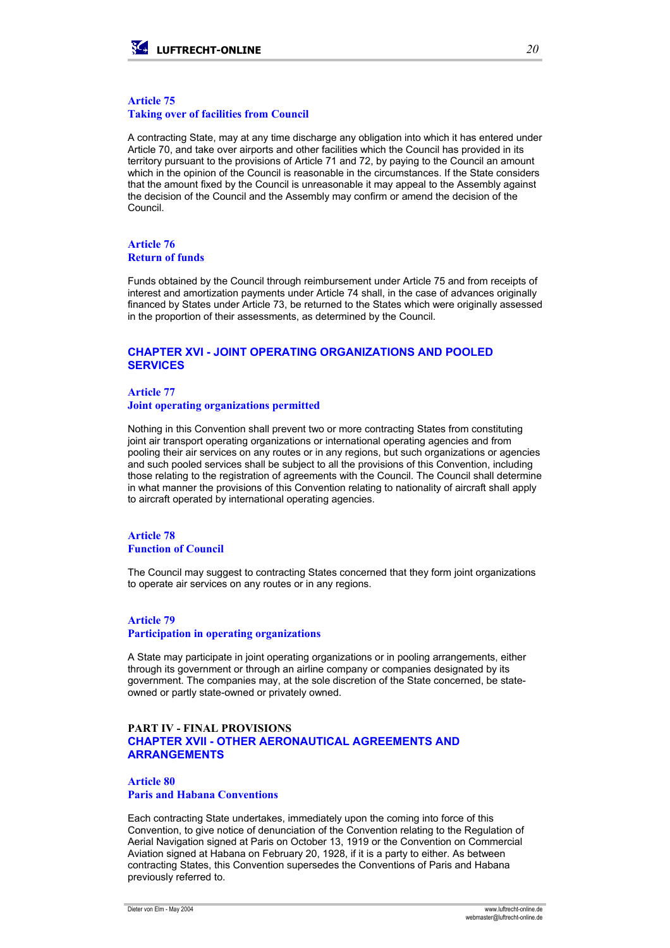## **Article 75 Taking over of facilities from Council**

A contracting State, may at any time discharge any obligation into which it has entered under Article 70, and take over airports and other facilities which the Council has provided in its territory pursuant to the provisions of Article 71 and 72, by paying to the Council an amount which in the opinion of the Council is reasonable in the circumstances. If the State considers that the amount fixed by the Council is unreasonable it may appeal to the Assembly against the decision of the Council and the Assembly may confirm or amend the decision of the Council.

# **Article 76 Return of funds**

Funds obtained by the Council through reimbursement under Article 75 and from receipts of interest and amortization payments under Article 74 shall, in the case of advances originally financed by States under Article 73, be returned to the States which were originally assessed in the proportion of their assessments, as determined by the Council.

# **CHAPTER XVI - JOINT OPERATING ORGANIZATIONS AND POOLED SERVICES**

# **Article 77 Joint operating organizations permitted**

Nothing in this Convention shall prevent two or more contracting States from constituting joint air transport operating organizations or international operating agencies and from pooling their air services on any routes or in any regions, but such organizations or agencies and such pooled services shall be subject to all the provisions of this Convention, including those relating to the registration of agreements with the Council. The Council shall determine in what manner the provisions of this Convention relating to nationality of aircraft shall apply to aircraft operated by international operating agencies.

## **Article 78 Function of Council**

The Council may suggest to contracting States concerned that they form joint organizations to operate air services on any routes or in any regions.

## **Article 79**

#### **Participation in operating organizations**

A State may participate in joint operating organizations or in pooling arrangements, either through its government or through an airline company or companies designated by its government. The companies may, at the sole discretion of the State concerned, be stateowned or partly state-owned or privately owned.

## **PART IV - FINAL PROVISIONS CHAPTER XVII - OTHER AERONAUTICAL AGREEMENTS AND ARRANGEMENTS**

# **Article 80 Paris and Habana Conventions**

Each contracting State undertakes, immediately upon the coming into force of this Convention, to give notice of denunciation of the Convention relating to the Regulation of Aerial Navigation signed at Paris on October 13, 1919 or the Convention on Commercial Aviation signed at Habana on February 20, 1928, if it is a party to either. As between contracting States, this Convention supersedes the Conventions of Paris and Habana previously referred to.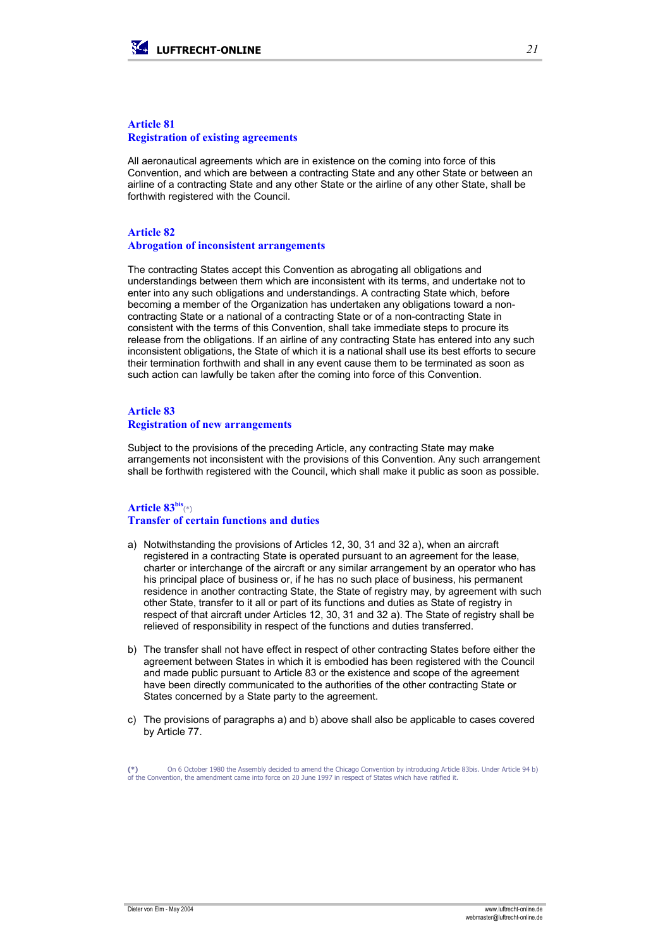

#### **Article 81 Registration of existing agreements**

All aeronautical agreements which are in existence on the coming into force of this Convention, and which are between a contracting State and any other State or between an airline of a contracting State and any other State or the airline of any other State, shall be forthwith registered with the Council.

## **Article 82 Abrogation of inconsistent arrangements**

The contracting States accept this Convention as abrogating all obligations and understandings between them which are inconsistent with its terms, and undertake not to enter into any such obligations and understandings. A contracting State which, before becoming a member of the Organization has undertaken any obligations toward a noncontracting State or a national of a contracting State or of a non-contracting State in consistent with the terms of this Convention, shall take immediate steps to procure its release from the obligations. If an airline of any contracting State has entered into any such inconsistent obligations, the State of which it is a national shall use its best efforts to secure their termination forthwith and shall in any event cause them to be terminated as soon as such action can lawfully be taken after the coming into force of this Convention.

# **Article 83 Registration of new arrangements**

Subject to the provisions of the preceding Article, any contracting State may make arrangements not inconsistent with the provisions of this Convention. Any such arrangement shall be forthwith registered with the Council, which shall make it public as soon as possible.

## **Article 83bis**(\*) **Transfer of certain functions and duties**

- a) Notwithstanding the provisions of Articles 12, 30, 31 and 32 a), when an aircraft registered in a contracting State is operated pursuant to an agreement for the lease, charter or interchange of the aircraft or any similar arrangement by an operator who has his principal place of business or, if he has no such place of business, his permanent residence in another contracting State, the State of registry may, by agreement with such other State, transfer to it all or part of its functions and duties as State of registry in respect of that aircraft under Articles 12, 30, 31 and 32 a). The State of registry shall be relieved of responsibility in respect of the functions and duties transferred.
- b) The transfer shall not have effect in respect of other contracting States before either the agreement between States in which it is embodied has been registered with the Council and made public pursuant to Article 83 or the existence and scope of the agreement have been directly communicated to the authorities of the other contracting State or States concerned by a State party to the agreement.
- c) The provisions of paragraphs a) and b) above shall also be applicable to cases covered by Article 77.
- **(\*)** On 6 October 1980 the Assembly decided to amend the Chicago Convention by introducing Article 83bis. Under Article 94 b) of the Convention, the amendment came into force on 20 June 1997 in respect of States which have ratified it.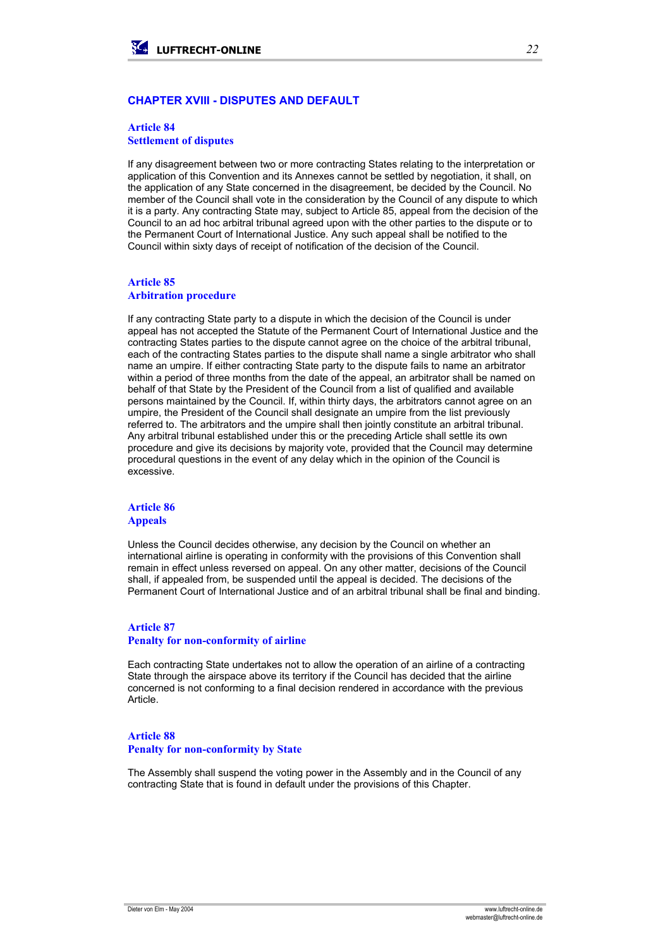# **CHAPTER XVIII - DISPUTES AND DEFAULT**

#### **Article 84 Settlement of disputes**

If any disagreement between two or more contracting States relating to the interpretation or application of this Convention and its Annexes cannot be settled by negotiation, it shall, on the application of any State concerned in the disagreement, be decided by the Council. No member of the Council shall vote in the consideration by the Council of any dispute to which it is a party. Any contracting State may, subject to Article 85, appeal from the decision of the Council to an ad hoc arbitral tribunal agreed upon with the other parties to the dispute or to the Permanent Court of International Justice. Any such appeal shall be notified to the Council within sixty days of receipt of notification of the decision of the Council.

# **Article 85**

# **Arbitration procedure**

If any contracting State party to a dispute in which the decision of the Council is under appeal has not accepted the Statute of the Permanent Court of International Justice and the contracting States parties to the dispute cannot agree on the choice of the arbitral tribunal, each of the contracting States parties to the dispute shall name a single arbitrator who shall name an umpire. If either contracting State party to the dispute fails to name an arbitrator within a period of three months from the date of the appeal, an arbitrator shall be named on behalf of that State by the President of the Council from a list of qualified and available persons maintained by the Council. If, within thirty days, the arbitrators cannot agree on an umpire, the President of the Council shall designate an umpire from the list previously referred to. The arbitrators and the umpire shall then jointly constitute an arbitral tribunal. Any arbitral tribunal established under this or the preceding Article shall settle its own procedure and give its decisions by majority vote, provided that the Council may determine procedural questions in the event of any delay which in the opinion of the Council is excessive.

#### **Article 86 Appeals**

Unless the Council decides otherwise, any decision by the Council on whether an international airline is operating in conformity with the provisions of this Convention shall remain in effect unless reversed on appeal. On any other matter, decisions of the Council shall, if appealed from, be suspended until the appeal is decided. The decisions of the Permanent Court of International Justice and of an arbitral tribunal shall be final and binding.

## **Article 87 Penalty for non-conformity of airline**

Each contracting State undertakes not to allow the operation of an airline of a contracting State through the airspace above its territory if the Council has decided that the airline concerned is not conforming to a final decision rendered in accordance with the previous Article.

## **Article 88**

#### **Penalty for non-conformity by State**

The Assembly shall suspend the voting power in the Assembly and in the Council of any contracting State that is found in default under the provisions of this Chapter.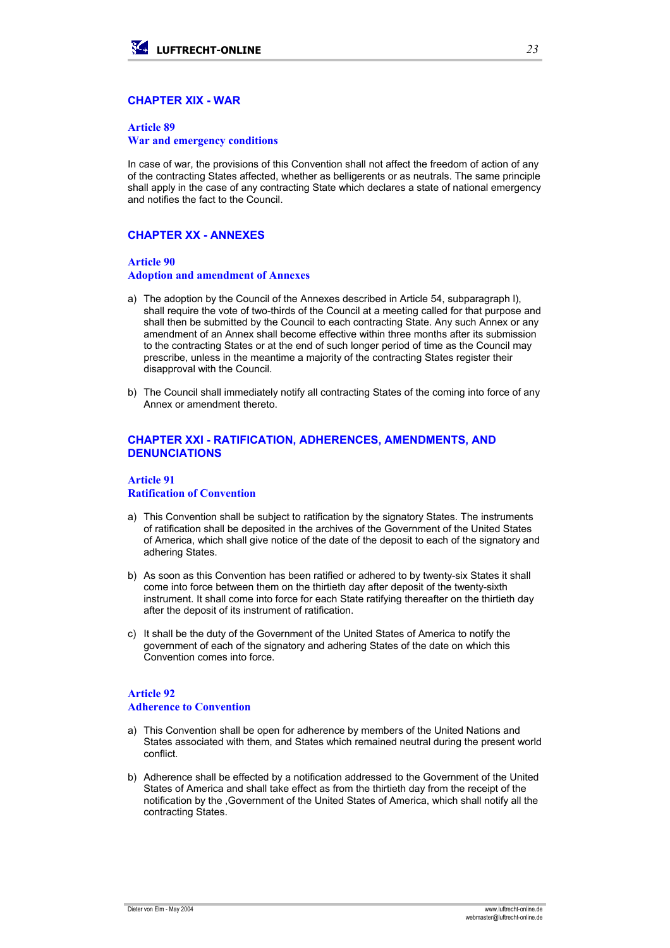## **CHAPTER XIX - WAR**

#### **Article 89 War and emergency conditions**

In case of war, the provisions of this Convention shall not affect the freedom of action of any of the contracting States affected, whether as belligerents or as neutrals. The same principle shall apply in the case of any contracting State which declares a state of national emergency and notifies the fact to the Council.

# **CHAPTER XX - ANNEXES**

#### **Article 90**

#### **Adoption and amendment of Annexes**

- a) The adoption by the Council of the Annexes described in Article 54, subparagraph l), shall require the vote of two-thirds of the Council at a meeting called for that purpose and shall then be submitted by the Council to each contracting State. Any such Annex or any amendment of an Annex shall become effective within three months after its submission to the contracting States or at the end of such longer period of time as the Council may prescribe, unless in the meantime a majority of the contracting States register their disapproval with the Council.
- b) The Council shall immediately notify all contracting States of the coming into force of any Annex or amendment thereto.

# **CHAPTER XXI - RATIFICATION, ADHERENCES, AMENDMENTS, AND DENUNCIATIONS**

## **Article 91 Ratification of Convention**

- a) This Convention shall be subject to ratification by the signatory States. The instruments of ratification shall be deposited in the archives of the Government of the United States of America, which shall give notice of the date of the deposit to each of the signatory and adhering States.
- b) As soon as this Convention has been ratified or adhered to by twenty-six States it shall come into force between them on the thirtieth day after deposit of the twenty-sixth instrument. It shall come into force for each State ratifying thereafter on the thirtieth day after the deposit of its instrument of ratification.
- c) It shall be the duty of the Government of the United States of America to notify the government of each of the signatory and adhering States of the date on which this Convention comes into force.

# **Article 92**

# **Adherence to Convention**

- a) This Convention shall be open for adherence by members of the United Nations and States associated with them, and States which remained neutral during the present world conflict.
- b) Adherence shall be effected by a notification addressed to the Government of the United States of America and shall take effect as from the thirtieth day from the receipt of the notification by the ,Government of the United States of America, which shall notify all the contracting States.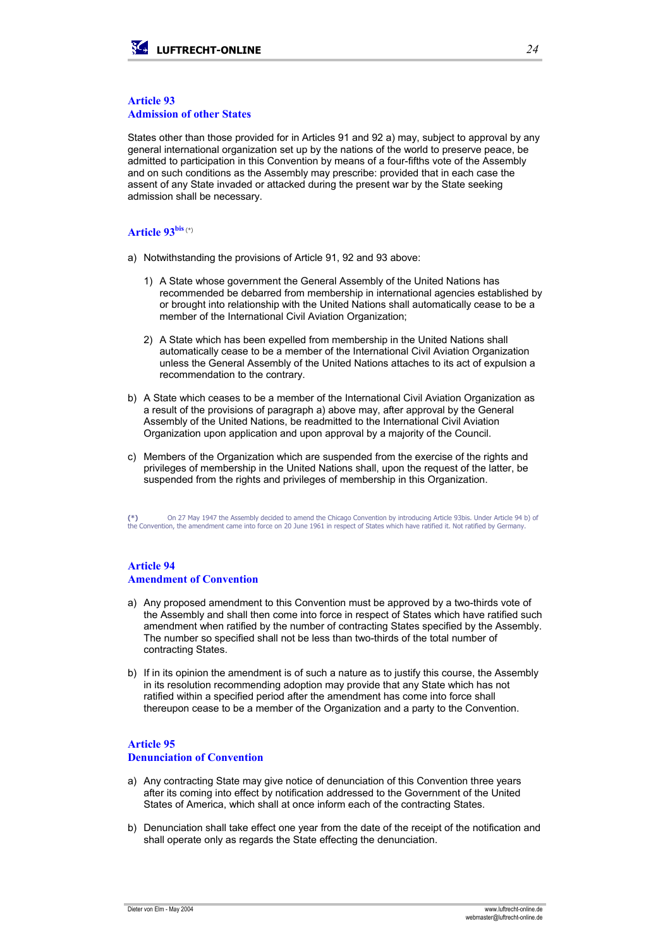## **Article 93 Admission of other States**

States other than those provided for in Articles 91 and 92 a) may, subject to approval by any general international organization set up by the nations of the world to preserve peace, be admitted to participation in this Convention by means of a four-fifths vote of the Assembly and on such conditions as the Assembly may prescribe: provided that in each case the assent of any State invaded or attacked during the present war by the State seeking admission shall be necessary.

# **Article 93bis** (\*)

- a) Notwithstanding the provisions of Article 91, 92 and 93 above:
	- 1) A State whose government the General Assembly of the United Nations has recommended be debarred from membership in international agencies established by or brought into relationship with the United Nations shall automatically cease to be a member of the International Civil Aviation Organization;
	- 2) A State which has been expelled from membership in the United Nations shall automatically cease to be a member of the International Civil Aviation Organization unless the General Assembly of the United Nations attaches to its act of expulsion a recommendation to the contrary.
- b) A State which ceases to be a member of the International Civil Aviation Organization as a result of the provisions of paragraph a) above may, after approval by the General Assembly of the United Nations, be readmitted to the International Civil Aviation Organization upon application and upon approval by a majority of the Council.
- c) Members of the Organization which are suspended from the exercise of the rights and privileges of membership in the United Nations shall, upon the request of the latter, be suspended from the rights and privileges of membership in this Organization.

**(\*)** On 27 May 1947 the Assembly decided to amend the Chicago Convention by introducing Article 93bis. Under Article 94 b) of the Convention, the amendment came into force on 20 June 1961 in respect of States which have ratified it. Not ratified by Germany.

#### **Article 94 Amendment of Convention**

- a) Any proposed amendment to this Convention must be approved by a two-thirds vote of the Assembly and shall then come into force in respect of States which have ratified such amendment when ratified by the number of contracting States specified by the Assembly. The number so specified shall not be less than two-thirds of the total number of contracting States.
- b) If in its opinion the amendment is of such a nature as to justify this course, the Assembly in its resolution recommending adoption may provide that any State which has not ratified within a specified period after the amendment has come into force shall thereupon cease to be a member of the Organization and a party to the Convention.

## **Article 95**

#### **Denunciation of Convention**

- a) Any contracting State may give notice of denunciation of this Convention three years after its coming into effect by notification addressed to the Government of the United States of America, which shall at once inform each of the contracting States.
- b) Denunciation shall take effect one year from the date of the receipt of the notification and shall operate only as regards the State effecting the denunciation.